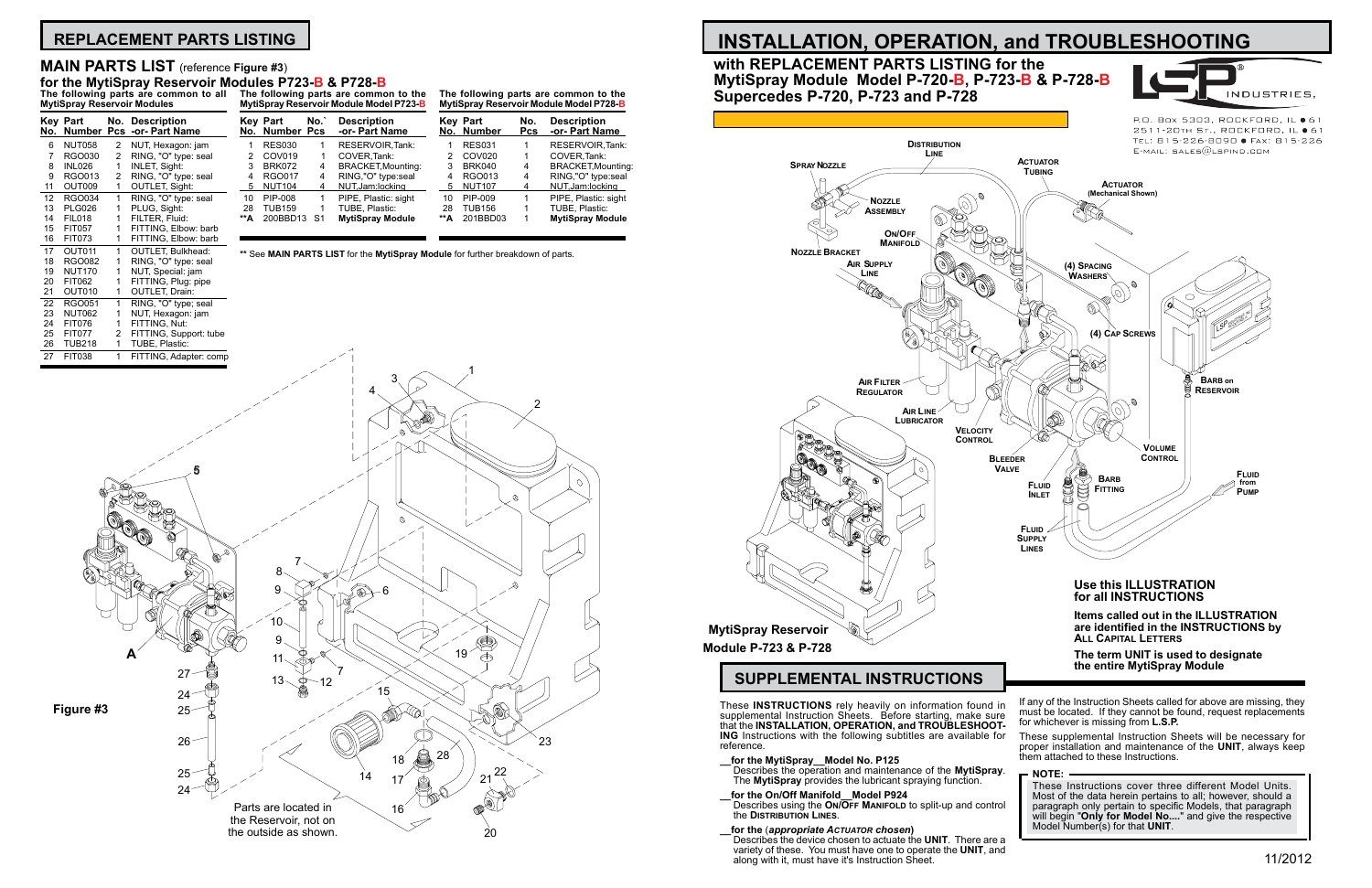**Items called out in the ILLUSTRATION are identified in the INSTRUCTIONS by**



**Key Part No. Description No. Number Pcs -or- Part Name** 6 NUT058 2 NUT, Hexagon: jam<br>7 RGO030 2 RING, "O" type: sea 7 RGO030 2 RING, "O" type: seal<br>8 INL026 1 INLET, Sight: INL026 1 INLET, Sight:<br>RGO013 2 RING. "O" tvr. 9 RGO013 2 RING, "O" type: seal<br>11 OUT009 1 OUTLET, Sight: OUTLET, Sight: 12 RGO034 1 RING, "O" type: seal<br>13 PLG026 1 PLUG, Sight: 13 PLG026 1 PLUG, Sight:<br>14 FIL018 1 FILTER. Fluic 14 FIL018 1 FILTER, Fluid:<br>15 FIT057 1 FITTING. Elbo 15 FIT057 1 FITTING, Elbow: barb<br>16 FIT073 1 FITTING, Elbow: barb FITTING, Elbow: barb 17 OUT011 1 OUTLET, Bulkhead:<br>18 RGO082 1 RING, "O" type: sea 18 RGO082 1 RING, "O" type: seal<br>19 NUT170 1 NUT, Special: jam 19 NUT170 1 NUT, Special: jam<br>20 FIT062 1 FITTING, Plug: pip FIT062 1 FITTING, Plug: pipe<br>OUT010 1 OUTLET, Drain: 21 OUT010 1 OUTLET, Drain:<br>22 RGO051 1 RING, "O" type; 22 RGO051 1 RING, "O" type; seal<br>23 NUT062 1 NUT, Hexagon: jam 23 NUT062 1 NUT, Hexagon: jam

- **\_\_for the MytiSpray\_\_Model No. P125** Describes the operation and maintenance of the **MytiSpray**. The **MytiSpray** provides the lubricant spraying function.
- **\_\_for the On/Off Manifold\_\_Model P924** Describes using the **ON/OFF MANIFOLD** to split-up and control the **Distribution Lines**.
- **\_\_for the** (*appropriate Actuator chosen***)** Describes the device chosen to actuate the **UNIT**. There are a variety of these. You must have one to operate the **UNIT**, and along with it, must have it's Instruction Sheet.

that the **INSTALLATION, OPERATION, and TROUBLESHOOT- ING** Instructions with the following subtitles are available for reference. If any of the Instruction Sheets called for above are missing, they must be located. If they cannot be found, request replacements for whichever is missing from **L.S.P.** These supplemental Instruction Sheets will be necessary for proper installation and maintenance of the **UNIT**, always keep them attached to these Instructions.





P.O. Box 5303, ROCKFORD, IL ● 61 2511-20TH ST., ROCKFORD, IL ● 6 TEL: 815-226-8090 · FAX: 815-226

## **with REPLACEMENT PARTS LISTING for the MytiSpray Module Model P-720-B, P-723-B & P-728-B Supercedes P-720, P-723 and P-728**

### **NOTE:** These Instructions cover three different Model Units. Most of the data herein pertains to all; however, should a paragraph only pertain to specific Models, that paragraph will begin "**Only for Model No....**" and give the respective Model Number(s) for that **UNIT**.

# **REPLACEMENT PARTS LISTING**

**The following parts are common to all MytiSpray Reservoir Modules**

**The following parts are common to the MytiSpray Reservoir Module Model P723-B**

| Kev | Part<br>No. Number Pcs | No.` | <b>Description</b><br>-or- Part Name |     | <b>Kev Part</b><br>No. Number | No.<br><b>Pcs</b> | <b>Description</b><br>-or- Part Name |
|-----|------------------------|------|--------------------------------------|-----|-------------------------------|-------------------|--------------------------------------|
|     | <b>RES030</b>          |      | RESERVOIR.Tank:                      |     | <b>RES031</b>                 |                   | RESERVOIR.Tank:                      |
|     | COV <sub>019</sub>     |      | COVER.Tank:                          |     | COV <sub>020</sub>            |                   | COVER, Tank:                         |
| 3   | <b>BRK072</b>          | 4    | <b>BRACKET, Mounting:</b>            | 3   | <b>BRK040</b>                 | 4                 | <b>BRACKET, Mounting:</b>            |
| 4   | <b>RGO017</b>          | 4    | RING,"O" type:seal                   | 4   | RGO013                        | 4                 | RING,"O" type:seal                   |
| 5.  | <b>NUT104</b>          |      | NUT, Jam: locking                    | 5   | <b>NUT107</b>                 | 4                 | NUT, Jam: locking                    |
| 10  | PIP-008                |      | PIPE, Plastic: sight                 | 10  | PIP-009                       |                   | PIPE, Plastic: sight                 |
| 28  | TUB159                 |      | TUBE, Plastic:                       | 28  | <b>TUB156</b>                 |                   | TUBE, Plastic:                       |
| **А | 200BBD13               | S1   | <b>MytiSpray Module</b>              | **A | 201BBD03                      |                   | <b>MytiSpray Module</b>              |
|     |                        |      |                                      |     |                               |                   |                                      |

**The following parts are common to the MytiSpray Reservoir Module Model P728-B**

## **MAIN PARTS LIST** (reference **Figure #3**)

# **for the MytiSpray Reservoir Modules P723-B & P728-B**

**\*\*** See **MAIN PARTS LIST** for the **MytiSpray Module** for further breakdown of parts.